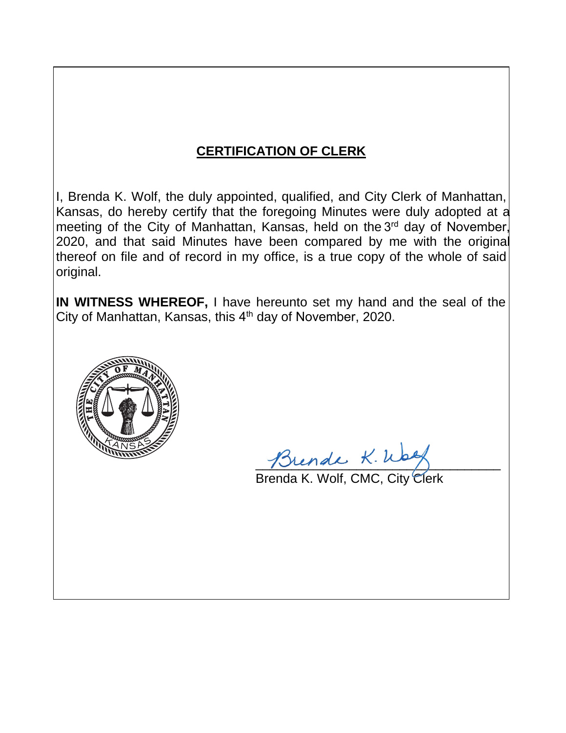# **CERTIFICATION OF CLERK**

I, Brenda K. Wolf, the duly appointed, qualified, and City Clerk of Manhattan, Kansas, do hereby certify that the foregoing Minutes were duly adopted at a meeting of the City of Manhattan, Kansas, held on the 3<sup>rd</sup> day of November, 2020, and that said Minutes have been compared by me with the original thereof on file and of record in my office, is a true copy of the whole of said original.

**IN WITNESS WHEREOF,** I have hereunto set my hand and the seal of the City of Manhattan, Kansas, this  $4<sup>th</sup>$  day of November, 2020.



\_\_\_\_\_\_\_\_\_\_\_\_\_\_\_\_\_\_\_\_\_\_\_\_\_\_\_\_\_\_\_\_\_\_

Brenda K. Wolf, CMC, City Clerk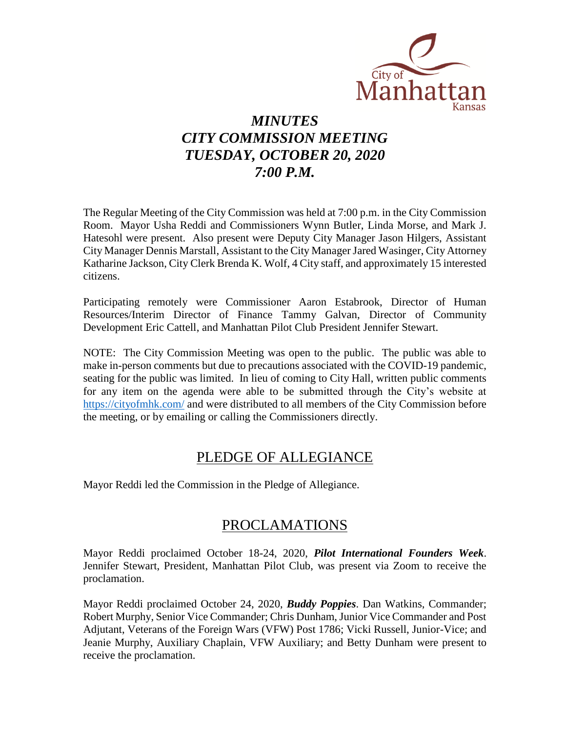

# *MINUTES CITY COMMISSION MEETING TUESDAY, OCTOBER 20, 2020 7:00 P.M.*

The Regular Meeting of the City Commission was held at 7:00 p.m. in the City Commission Room. Mayor Usha Reddi and Commissioners Wynn Butler, Linda Morse, and Mark J. Hatesohl were present. Also present were Deputy City Manager Jason Hilgers, Assistant City Manager Dennis Marstall, Assistant to the City Manager Jared Wasinger, City Attorney Katharine Jackson, City Clerk Brenda K. Wolf, 4 City staff, and approximately 15 interested citizens.

Participating remotely were Commissioner Aaron Estabrook, Director of Human Resources/Interim Director of Finance Tammy Galvan, Director of Community Development Eric Cattell, and Manhattan Pilot Club President Jennifer Stewart.

NOTE: The City Commission Meeting was open to the public. The public was able to make in-person comments but due to precautions associated with the COVID-19 pandemic, seating for the public was limited. In lieu of coming to City Hall, written public comments for any item on the agenda were able to be submitted through the City's website at [https://cityofmhk.com/](https://cityofmhk.com/and) and were distributed to all members of the City Commission before the meeting, or by emailing or calling the Commissioners directly.

### PLEDGE OF ALLEGIANCE

Mayor Reddi led the Commission in the Pledge of Allegiance.

### PROCLAMATIONS

Mayor Reddi proclaimed October 18-24, 2020, *Pilot International Founders Week*. Jennifer Stewart, President, Manhattan Pilot Club, was present via Zoom to receive the proclamation.

Mayor Reddi proclaimed October 24, 2020, *Buddy Poppies*. Dan Watkins, Commander; Robert Murphy, Senior Vice Commander; Chris Dunham, Junior Vice Commander and Post Adjutant, Veterans of the Foreign Wars (VFW) Post 1786; Vicki Russell, Junior-Vice; and Jeanie Murphy, Auxiliary Chaplain, VFW Auxiliary; and Betty Dunham were present to receive the proclamation.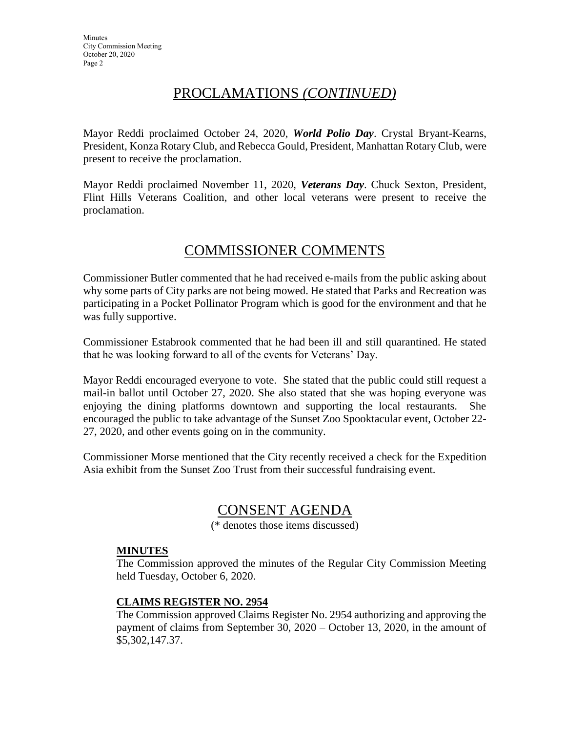# PROCLAMATIONS *(CONTINUED)*

Mayor Reddi proclaimed October 24, 2020, *World Polio Day*. Crystal Bryant-Kearns, President, Konza Rotary Club, and Rebecca Gould, President, Manhattan Rotary Club, were present to receive the proclamation.

Mayor Reddi proclaimed November 11, 2020, *Veterans Day*. Chuck Sexton, President, Flint Hills Veterans Coalition, and other local veterans were present to receive the proclamation.

# COMMISSIONER COMMENTS

Commissioner Butler commented that he had received e-mails from the public asking about why some parts of City parks are not being mowed. He stated that Parks and Recreation was participating in a Pocket Pollinator Program which is good for the environment and that he was fully supportive.

Commissioner Estabrook commented that he had been ill and still quarantined. He stated that he was looking forward to all of the events for Veterans' Day.

Mayor Reddi encouraged everyone to vote. She stated that the public could still request a mail-in ballot until October 27, 2020. She also stated that she was hoping everyone was enjoying the dining platforms downtown and supporting the local restaurants. She encouraged the public to take advantage of the Sunset Zoo Spooktacular event, October 22- 27, 2020, and other events going on in the community.

Commissioner Morse mentioned that the City recently received a check for the Expedition Asia exhibit from the Sunset Zoo Trust from their successful fundraising event.

### CONSENT AGENDA

(\* denotes those items discussed)

### **MINUTES**

The Commission approved the minutes of the Regular City Commission Meeting held Tuesday, October 6, 2020.

### **CLAIMS REGISTER NO. 2954**

The Commission approved Claims Register No. 2954 authorizing and approving the payment of claims from September 30, 2020 – October 13, 2020, in the amount of \$5,302,147.37.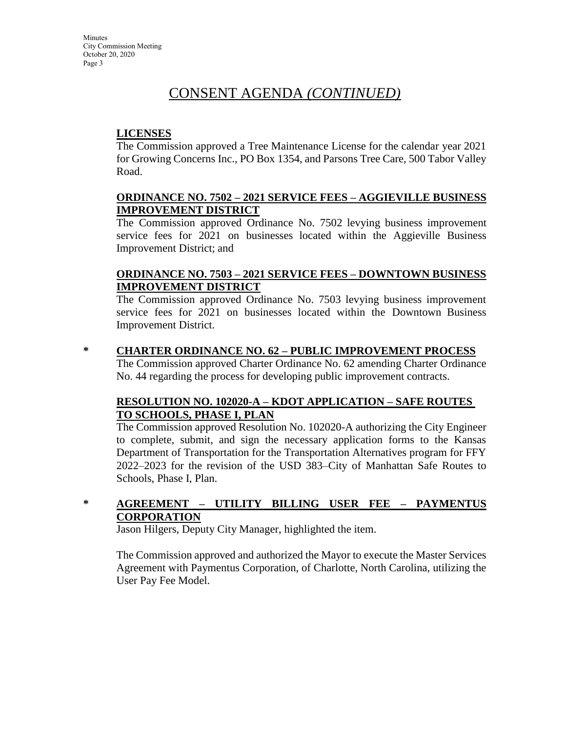### CONSENT AGENDA *(CONTINUED)*

### **LICENSES**

The Commission approved a Tree Maintenance License for the calendar year 2021 for Growing Concerns Inc., PO Box 1354, and Parsons Tree Care, 500 Tabor Valley Road.

#### **ORDINANCE NO. 7502 – 2021 SERVICE FEES – AGGIEVILLE BUSINESS IMPROVEMENT DISTRICT**

The Commission approved Ordinance No. 7502 levying business improvement service fees for 2021 on businesses located within the Aggieville Business Improvement District; and

### **ORDINANCE NO. 7503 – 2021 SERVICE FEES – DOWNTOWN BUSINESS IMPROVEMENT DISTRICT**

The Commission approved Ordinance No. 7503 levying business improvement service fees for 2021 on businesses located within the Downtown Business Improvement District.

### **\* CHARTER ORDINANCE NO. 62 – PUBLIC IMPROVEMENT PROCESS**

The Commission approved Charter Ordinance No. 62 amending Charter Ordinance No. 44 regarding the process for developing public improvement contracts.

### **RESOLUTION NO. 102020-A – KDOT APPLICATION – SAFE ROUTES TO SCHOOLS, PHASE I, PLAN**

The Commission approved Resolution No. 102020-A authorizing the City Engineer to complete, submit, and sign the necessary application forms to the Kansas Department of Transportation for the Transportation Alternatives program for FFY 2022–2023 for the revision of the USD 383–City of Manhattan Safe Routes to Schools, Phase I, Plan.

### **\* AGREEMENT – UTILITY BILLING USER FEE – PAYMENTUS CORPORATION**

Jason Hilgers, Deputy City Manager, highlighted the item.

The Commission approved and authorized the Mayor to execute the Master Services Agreement with Paymentus Corporation, of Charlotte, North Carolina, utilizing the User Pay Fee Model.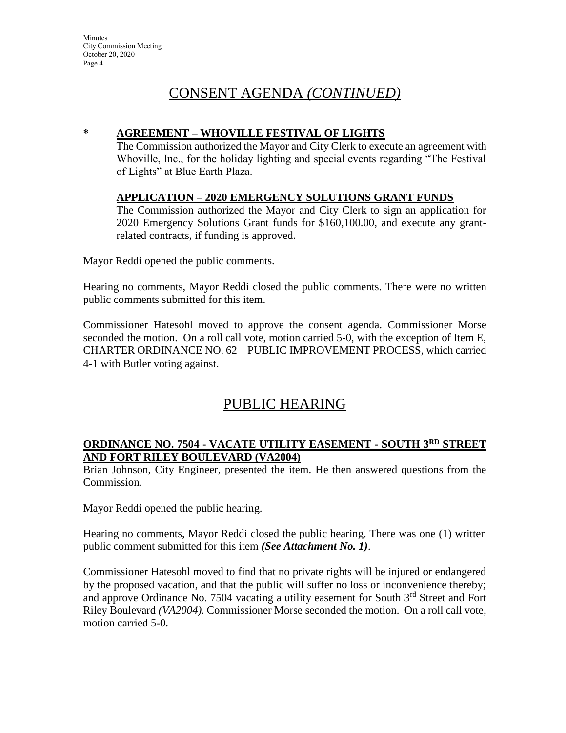**Minutes** City Commission Meeting October 20, 2020 Page 4

### CONSENT AGENDA *(CONTINUED)*

#### **\* AGREEMENT – WHOVILLE FESTIVAL OF LIGHTS**

The Commission authorized the Mayor and City Clerk to execute an agreement with Whoville, Inc., for the holiday lighting and special events regarding "The Festival of Lights" at Blue Earth Plaza.

#### **APPLICATION – 2020 EMERGENCY SOLUTIONS GRANT FUNDS**

The Commission authorized the Mayor and City Clerk to sign an application for 2020 Emergency Solutions Grant funds for \$160,100.00, and execute any grantrelated contracts, if funding is approved.

Mayor Reddi opened the public comments.

Hearing no comments, Mayor Reddi closed the public comments. There were no written public comments submitted for this item.

Commissioner Hatesohl moved to approve the consent agenda. Commissioner Morse seconded the motion. On a roll call vote, motion carried 5-0, with the exception of Item E, CHARTER ORDINANCE NO. 62 – PUBLIC IMPROVEMENT PROCESS, which carried 4-1 with Butler voting against.

### PUBLIC HEARING

### **ORDINANCE NO. 7504 - VACATE UTILITY EASEMENT - SOUTH 3RD STREET AND FORT RILEY BOULEVARD (VA2004)**

Brian Johnson, City Engineer, presented the item. He then answered questions from the Commission.

Mayor Reddi opened the public hearing.

Hearing no comments, Mayor Reddi closed the public hearing. There was one (1) written public comment submitted for this item *(See Attachment No. 1)*.

Commissioner Hatesohl moved to find that no private rights will be injured or endangered by the proposed vacation, and that the public will suffer no loss or inconvenience thereby; and approve Ordinance No. 7504 vacating a utility easement for South  $3<sup>rd</sup>$  Street and Fort Riley Boulevard *(VA2004).* Commissioner Morse seconded the motion. On a roll call vote, motion carried 5-0.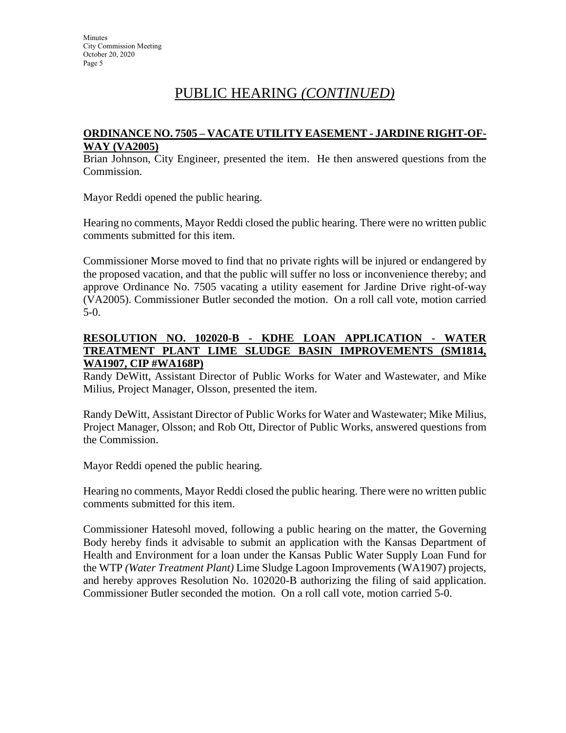## PUBLIC HEARING *(CONTINUED)*

#### **ORDINANCE NO. 7505 – VACATE UTILITY EASEMENT - JARDINE RIGHT-OF-WAY (VA2005)**

Brian Johnson, City Engineer, presented the item. He then answered questions from the Commission.

Mayor Reddi opened the public hearing.

Hearing no comments, Mayor Reddi closed the public hearing. There were no written public comments submitted for this item.

Commissioner Morse moved to find that no private rights will be injured or endangered by the proposed vacation, and that the public will suffer no loss or inconvenience thereby; and approve Ordinance No. 7505 vacating a utility easement for Jardine Drive right-of-way (VA2005). Commissioner Butler seconded the motion. On a roll call vote, motion carried 5-0.

#### **RESOLUTION NO. 102020-B - KDHE LOAN APPLICATION - WATER TREATMENT PLANT LIME SLUDGE BASIN IMPROVEMENTS (SM1814, WA1907, CIP #WA168P)**

Randy DeWitt, Assistant Director of Public Works for Water and Wastewater, and Mike Milius, Project Manager, Olsson, presented the item.

Randy DeWitt, Assistant Director of Public Works for Water and Wastewater; Mike Milius, Project Manager, Olsson; and Rob Ott, Director of Public Works, answered questions from the Commission.

Mayor Reddi opened the public hearing.

Hearing no comments, Mayor Reddi closed the public hearing. There were no written public comments submitted for this item.

Commissioner Hatesohl moved, following a public hearing on the matter, the Governing Body hereby finds it advisable to submit an application with the Kansas Department of Health and Environment for a loan under the Kansas Public Water Supply Loan Fund for the WTP *(Water Treatment Plant)* Lime Sludge Lagoon Improvements (WA1907) projects, and hereby approves Resolution No. 102020-B authorizing the filing of said application. Commissioner Butler seconded the motion. On a roll call vote, motion carried 5-0.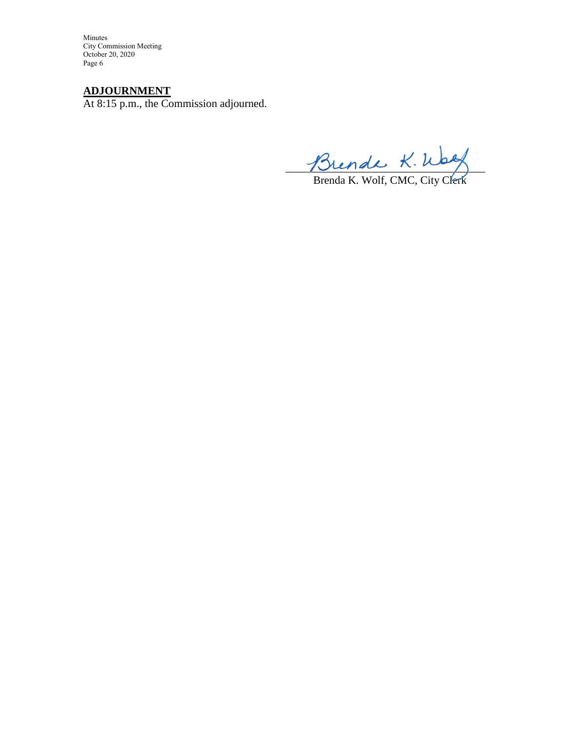Minutes City Commission Meeting October 20, 2020 Page 6

### **ADJOURNMENT**

At 8:15 p.m., the Commission adjourned.

The half  $\wedge \cdots \wedge$ 

Brenda K. Wolf, CMC, City Clerk